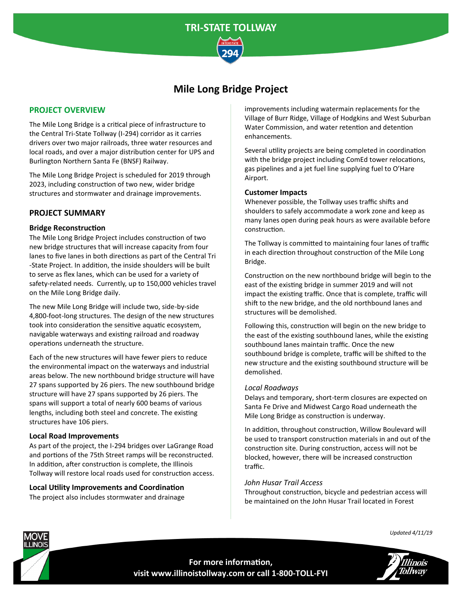

# **Mile Long Bridge Project**

# **PROJECT OVERVIEW**

The Mile Long Bridge is a critical piece of infrastructure to the Central Tri-State Tollway (I-294) corridor as it carries drivers over two major railroads, three water resources and local roads, and over a major distribution center for UPS and Burlington Northern Santa Fe (BNSF) Railway.

The Mile Long Bridge Project is scheduled for 2019 through 2023, including construction of two new, wider bridge structures and stormwater and drainage improvements.

## **PROJECT SUMMARY**

### **Bridge Reconstruction**

The Mile Long Bridge Project includes construction of two new bridge structures that will increase capacity from four lanes to five lanes in both directions as part of the Central Tri -State Project. In addition, the inside shoulders will be built to serve as flex lanes, which can be used for a variety of safety-related needs. Currently, up to 150,000 vehicles travel on the Mile Long Bridge daily.

The new Mile Long Bridge will include two, side-by-side 4,800-foot-long structures. The design of the new structures took into consideration the sensitive aquatic ecosystem, navigable waterways and existing railroad and roadway operations underneath the structure.

Each of the new structures will have fewer piers to reduce the environmental impact on the waterways and industrial areas below. The new northbound bridge structure will have 27 spans supported by 26 piers. The new southbound bridge structure will have 27 spans supported by 26 piers. The spans will support a total of nearly 600 beams of various lengths, including both steel and concrete. The existing structures have 106 piers.

#### **Local Road Improvements**

As part of the project, the I-294 bridges over LaGrange Road and portions of the 75th Street ramps will be reconstructed. In addition, after construction is complete, the Illinois Tollway will restore local roads used for construction access.

**Local Utility Improvements and Coordination** The project also includes stormwater and drainage improvements including watermain replacements for the Village of Burr Ridge, Village of Hodgkins and West Suburban Water Commission, and water retention and detention enhancements.

Several utility projects are being completed in coordination with the bridge project including ComEd tower relocations, gas pipelines and a jet fuel line supplying fuel to O'Hare Airport.

#### **Customer Impacts**

Whenever possible, the Tollway uses traffic shifts and shoulders to safely accommodate a work zone and keep as many lanes open during peak hours as were available before construction.

The Tollway is committed to maintaining four lanes of traffic in each direction throughout construction of the Mile Long Bridge.

Construction on the new northbound bridge will begin to the east of the existing bridge in summer 2019 and will not impact the existing traffic. Once that is complete, traffic will shift to the new bridge, and the old northbound lanes and structures will be demolished.

Following this, construction will begin on the new bridge to the east of the existing southbound lanes, while the existing southbound lanes maintain traffic. Once the new southbound bridge is complete, traffic will be shifted to the new structure and the existing southbound structure will be demolished.

#### *Local Roadways*

Delays and temporary, short-term closures are expected on Santa Fe Drive and Midwest Cargo Road underneath the Mile Long Bridge as construction is underway.

In addition, throughout construction, Willow Boulevard will be used to transport construction materials in and out of the construction site. During construction, access will not be blocked, however, there will be increased construction traffic.

#### *John Husar Trail Access*

Throughout construction, bicycle and pedestrian access will be maintained on the John Husar Trail located in Forest



*Updated 4/11/19*